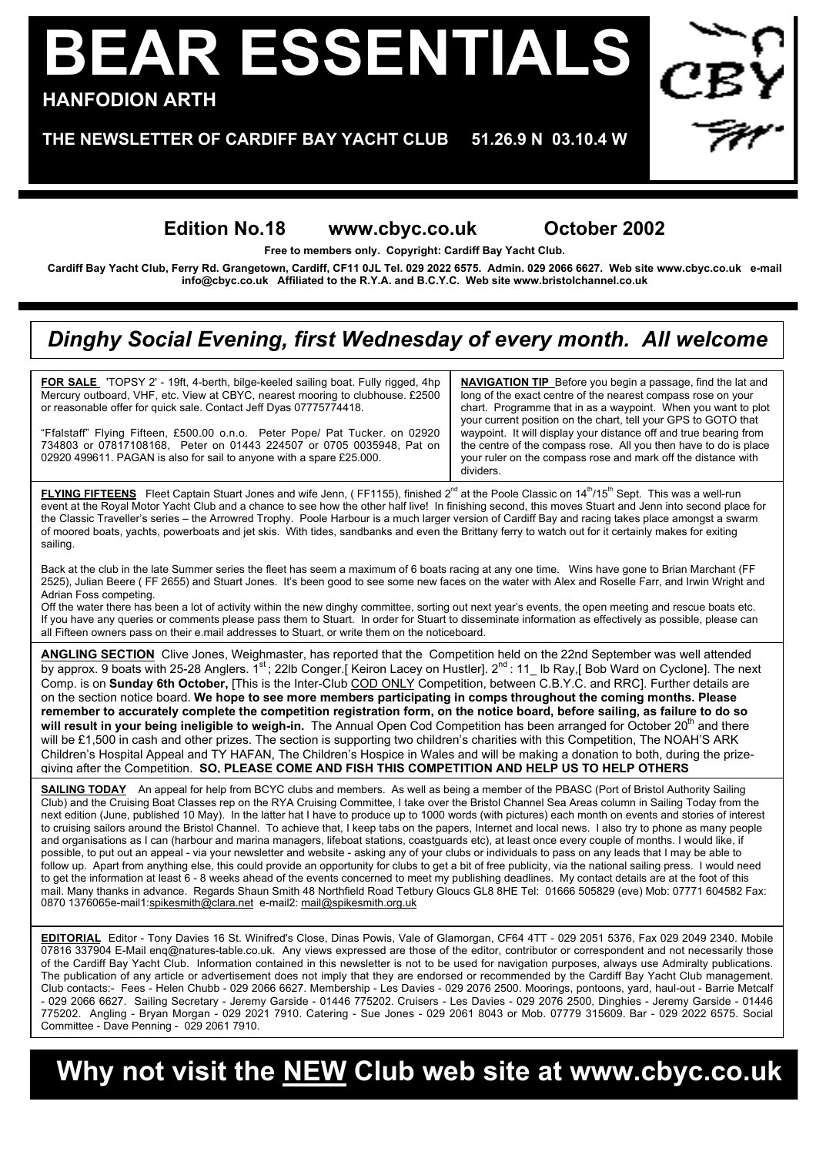# **BEAR ESSENTIALS HANFODION ARTH**

#### **THE NEWSLETTER OF CARDIFF BAY YACHT CLUB 51.26.9 N 03.10.4 W**

### **Edition No.18 www.cbyc.co.uk October 2002**

**Free to members only. Copyright: Cardiff Bay Yacht Club.**

**Cardiff Bay Yacht Club, Ferry Rd. Grangetown, Cardiff, CF11 0JL Tel. 029 2022 6575. Admin. 029 2066 6627. Web site www.cbyc.co.uk e-mail info@cbyc.co.uk Affiliated to the R.Y.A. and B.C.Y.C. Web site www.bristolchannel.co.uk**

### *Dinghy Social Evening, first Wednesday of every month. All welcome*

**FOR SALE** 'TOPSY 2' - 19ft, 4-berth, bilge-keeled sailing boat. Fully rigged, 4hp Mercury outboard, VHF, etc. View at CBYC, nearest mooring to clubhouse. £2500 or reasonable offer for quick sale. Contact Jeff Dyas 07775774418.

"Ffalstaff" Flying Fifteen, £500.00 o.n.o. Peter Pope/ Pat Tucker. on 02920 734803 or 07817108168, Peter on 01443 224507 or 0705 0035948, Pat on 02920 499611. PAGAN is also for sail to anyone with a spare £25.000.

**NAVIGATION TIP** Before you begin a passage, find the lat and long of the exact centre of the nearest compass rose on your chart. Programme that in as a waypoint. When you want to plot your current position on the chart, tell your GPS to GOTO that waypoint. It will display your distance off and true bearing from the centre of the compass rose. All you then have to do is place your ruler on the compass rose and mark off the distance with dividers.

FLYING FIFTEENS Fleet Captain Stuart Jones and wife Jenn, (FF1155), finished 2<sup>nd</sup> at the Poole Classic on 14<sup>th</sup>/15<sup>th</sup> Sept. This was a well-run event at the Royal Motor Yacht Club and a chance to see how the other half live! In finishing second, this moves Stuart and Jenn into second place for the Classic Traveller's series – the Arrowred Trophy. Poole Harbour is a much larger version of Cardiff Bay and racing takes place amongst a swarm of moored boats, yachts, powerboats and jet skis. With tides, sandbanks and even the Brittany ferry to watch out for it certainly makes for exiting sailing.

Back at the club in the late Summer series the fleet has seem a maximum of 6 boats racing at any one time. Wins have gone to Brian Marchant (FF 2525), Julian Beere ( FF 2655) and Stuart Jones. It's been good to see some new faces on the water with Alex and Roselle Farr, and Irwin Wright and Adrian Foss competing.

Off the water there has been a lot of activity within the new dinghy committee, sorting out next year's events, the open meeting and rescue boats etc. If you have any queries or comments please pass them to Stuart. In order for Stuart to disseminate information as effectively as possible, please can all Fifteen owners pass on their e.mail addresses to Stuart, or write them on the noticeboard.

**ANGLING SECTION** Clive Jones, Weighmaster, has reported that the Competition held on the 22nd September was well attended by approx. 9 boats with 25-28 Anglers. 1st; 22lb Conger. [ Keiron Lacey on Hustler]. 2<sup>nd</sup>: 11 lb Ray, [ Bob Ward on Cyclone]. The next Comp. is on **Sunday 6th October,** [This is the Inter-Club COD ONLY Competition, between C.B.Y.C. and RRC]. Further details are on the section notice board. **We hope to see more members participating in comps throughout the coming months. Please remember to accurately complete the competition registration form, on the notice board, before sailing, as failure to do so** will result in your being ineligible to weigh-in. The Annual Open Cod Competition has been arranged for October 20<sup>th</sup> and there will be £1,500 in cash and other prizes. The section is supporting two children's charities with this Competition, The NOAH'S ARK Children's Hospital Appeal and TY HAFAN, The Children's Hospice in Wales and will be making a donation to both, during the prizegiving after the Competition. **SO, PLEASE COME AND FISH THIS COMPETITION AND HELP US TO HELP OTHERS**

**SAILING TODAY** An appeal for help from BCYC clubs and members. As well as being a member of the PBASC (Port of Bristol Authority Sailing Club) and the Cruising Boat Classes rep on the RYA Cruising Committee, I take over the Bristol Channel Sea Areas column in Sailing Today from the next edition (June, published 10 May). In the latter hat I have to produce up to 1000 words (with pictures) each month on events and stories of interest to cruising sailors around the Bristol Channel. To achieve that, I keep tabs on the papers, Internet and local news. I also try to phone as many people and organisations as I can (harbour and marina managers, lifeboat stations, coastguards etc), at least once every couple of months. I would like, if possible, to put out an appeal - via your newsletter and website - asking any of your clubs or individuals to pass on any leads that I may be able to follow up. Apart from anything else, this could provide an opportunity for clubs to get a bit of free publicity, via the national sailing press. I would need to get the information at least 6 - 8 weeks ahead of the events concerned to meet my publishing deadlines. My contact details are at the foot of this mail. Many thanks in advance. Regards Shaun Smith 48 Northfield Road Tetbury Gloucs GL8 8HE Tel: 01666 505829 (eve) Mob: 07771 604582 Fax: 0870 1376065e-mail1:spikesmith@clara.net e-mail2: mail@spikesmith.org.uk

**EDITORIAL** Editor - Tony Davies 16 St. Winifred's Close, Dinas Powis, Vale of Glamorgan, CF64 4TT - 029 2051 5376, Fax 029 2049 2340. Mobile 07816 337904 E-Mail enq@natures-table.co.uk. Any views expressed are those of the editor, contributor or correspondent and not necessarily those of the Cardiff Bay Yacht Club. Information contained in this newsletter is not to be used for navigation purposes, always use Admiralty publications. The publication of any article or advertisement does not imply that they are endorsed or recommended by the Cardiff Bay Yacht Club management. Club contacts:- Fees - Helen Chubb - 029 2066 6627. Membership - Les Davies - 029 2076 2500. Moorings, pontoons, yard, haul-out - Barrie Metcalf - 029 2066 6627. Sailing Secretary - Jeremy Garside - 01446 775202. Cruisers - Les Davies - 029 2076 2500, Dinghies - Jeremy Garside - 01446 775202. Angling - Bryan Morgan - 029 2021 7910. Catering - Sue Jones - 029 2061 8043 or Mob. 07779 315609. Bar - 029 2022 6575. Social Committee - Dave Penning - 029 2061 7910.

## **Why not visit the NEW Club web site at www.cbyc.co.uk**